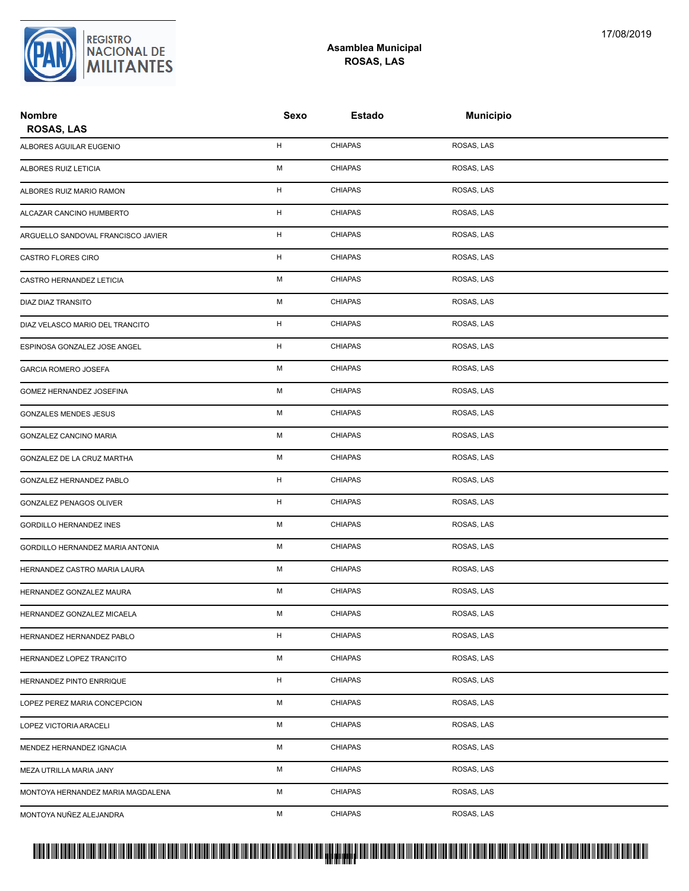

## **Asamblea Municipal ROSAS, LAS**

| <b>Nombre</b><br><b>ROSAS, LAS</b> | Sexo        | <b>Estado</b>  | <b>Municipio</b> |  |
|------------------------------------|-------------|----------------|------------------|--|
| ALBORES AGUILAR EUGENIO            | Н           | <b>CHIAPAS</b> | ROSAS, LAS       |  |
| ALBORES RUIZ LETICIA               | M           | <b>CHIAPAS</b> | ROSAS, LAS       |  |
| ALBORES RUIZ MARIO RAMON           | Н           | <b>CHIAPAS</b> | ROSAS, LAS       |  |
| ALCAZAR CANCINO HUMBERTO           | H           | <b>CHIAPAS</b> | ROSAS, LAS       |  |
| ARGUELLO SANDOVAL FRANCISCO JAVIER | Н           | <b>CHIAPAS</b> | ROSAS, LAS       |  |
| CASTRO FLORES CIRO                 | н           | <b>CHIAPAS</b> | ROSAS, LAS       |  |
| CASTRO HERNANDEZ LETICIA           | М           | <b>CHIAPAS</b> | ROSAS, LAS       |  |
| DIAZ DIAZ TRANSITO                 | М           | <b>CHIAPAS</b> | ROSAS, LAS       |  |
| DIAZ VELASCO MARIO DEL TRANCITO    | $\mathsf H$ | <b>CHIAPAS</b> | ROSAS, LAS       |  |
| ESPINOSA GONZALEZ JOSE ANGEL       | н           | <b>CHIAPAS</b> | ROSAS, LAS       |  |
| <b>GARCIA ROMERO JOSEFA</b>        | М           | <b>CHIAPAS</b> | ROSAS, LAS       |  |
| GOMEZ HERNANDEZ JOSEFINA           | М           | <b>CHIAPAS</b> | ROSAS, LAS       |  |
| GONZALES MENDES JESUS              | М           | <b>CHIAPAS</b> | ROSAS, LAS       |  |
| GONZALEZ CANCINO MARIA             | М           | <b>CHIAPAS</b> | ROSAS, LAS       |  |
| GONZALEZ DE LA CRUZ MARTHA         | M           | <b>CHIAPAS</b> | ROSAS, LAS       |  |
| GONZALEZ HERNANDEZ PABLO           | н           | <b>CHIAPAS</b> | ROSAS, LAS       |  |
| GONZALEZ PENAGOS OLIVER            | $\mathsf H$ | <b>CHIAPAS</b> | ROSAS, LAS       |  |
| GORDILLO HERNANDEZ INES            | M           | <b>CHIAPAS</b> | ROSAS, LAS       |  |
| GORDILLO HERNANDEZ MARIA ANTONIA   | М           | <b>CHIAPAS</b> | ROSAS, LAS       |  |
| HERNANDEZ CASTRO MARIA LAURA       | М           | <b>CHIAPAS</b> | ROSAS, LAS       |  |
| HERNANDEZ GONZALEZ MAURA           | М           | <b>CHIAPAS</b> | ROSAS, LAS       |  |
| HERNANDEZ GONZALEZ MICAELA         | М           | <b>CHIAPAS</b> | ROSAS, LAS       |  |
| HERNANDEZ HERNANDEZ PABLO          | H           | <b>CHIAPAS</b> | ROSAS, LAS       |  |
| HERNANDEZ LOPEZ TRANCITO           | М           | <b>CHIAPAS</b> | ROSAS, LAS       |  |
| HERNANDEZ PINTO ENRRIQUE           | н           | <b>CHIAPAS</b> | ROSAS, LAS       |  |
| LOPEZ PEREZ MARIA CONCEPCION       | М           | <b>CHIAPAS</b> | ROSAS, LAS       |  |
| LOPEZ VICTORIA ARACELI             | М           | <b>CHIAPAS</b> | ROSAS, LAS       |  |
| MENDEZ HERNANDEZ IGNACIA           | М           | <b>CHIAPAS</b> | ROSAS, LAS       |  |
| MEZA UTRILLA MARIA JANY            | М           | <b>CHIAPAS</b> | ROSAS, LAS       |  |
| MONTOYA HERNANDEZ MARIA MAGDALENA  | М           | <b>CHIAPAS</b> | ROSAS, LAS       |  |
| MONTOYA NUÑEZ ALEJANDRA            | М           | <b>CHIAPAS</b> | ROSAS, LAS       |  |

## PROTUCCION SU REGION DA SU REGIONAL DE LA SULTA SU REGIONAL DE MILITANTES CONTRADO NACIONAL DE MILITANTES CONTRADO N <mark>. Pangyakan k</mark>